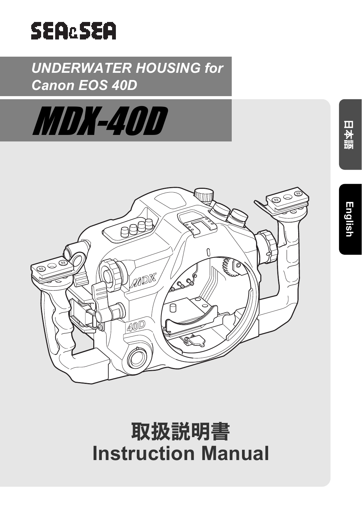

# *UNDERWATER HOUSING for Canon EOS 40D*





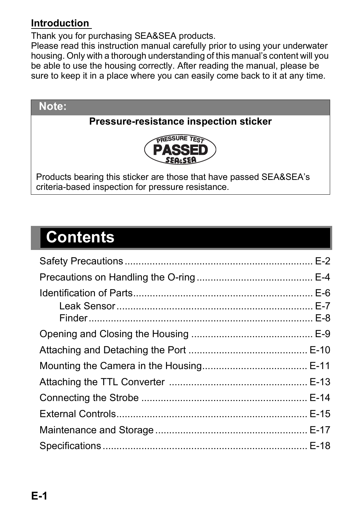#### **Introduction**

Thank you for purchasing SEA&SEA products.

Please read this instruction manual carefully prior to using your underwater housing. Only with a thorough understanding of this manual's content will you be able to use the housing correctly. After reading the manual, please be sure to keep it in a place where you can easily come back to it at any time.



# **Contents**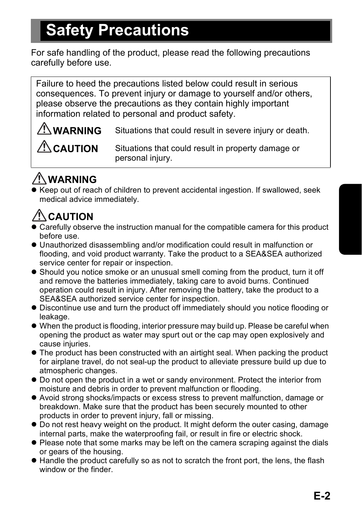# **Safety Precautions**

For safe handling of the product, please read the following precautions carefully before use.

Failure to heed the precautions listed below could result in serious consequences. To prevent injury or damage to yourself and/or others, please observe the precautions as they contain highly important information related to personal and product safety.

**WARNING** Situations that could result in severe injury or death.

**CAUTION** Situations that could result in property damage or personal injury.

# **WARNING**

Keep out of reach of children to prevent accidental ingestion. If swallowed, seek medical advice immediately.

# **CAUTION**

- Carefully observe the instruction manual for the compatible camera for this product before use.
- z Unauthorized disassembling and/or modification could result in malfunction or flooding, and void product warranty. Take the product to a SEA&SEA authorized service center for repair or inspection.
- Should you notice smoke or an unusual smell coming from the product, turn it off and remove the batteries immediately, taking care to avoid burns. Continued operation could result in injury. After removing the battery, take the product to a SEA&SEA authorized service center for inspection.
- Discontinue use and turn the product off immediately should you notice flooding or leakage.
- $\bullet$  When the product is flooding, interior pressure may build up. Please be careful when opening the product as water may spurt out or the cap may open explosively and cause injuries.
- $\bullet$  The product has been constructed with an airtight seal. When packing the product for airplane travel, do not seal-up the product to alleviate pressure build up due to atmospheric changes.
- Do not open the product in a wet or sandy environment. Protect the interior from moisture and debris in order to prevent malfunction or flooding.
- Avoid strong shocks/impacts or excess stress to prevent malfunction, damage or breakdown. Make sure that the product has been securely mounted to other products in order to prevent injury, fall or missing.
- $\bullet$  Do not rest heavy weight on the product. It might deform the outer casing, damage internal parts, make the waterproofing fail, or result in fire or electric shock.
- Please note that some marks may be left on the camera scraping against the dials or gears of the housing.
- $\bullet$  Handle the product carefully so as not to scratch the front port, the lens, the flash window or the finder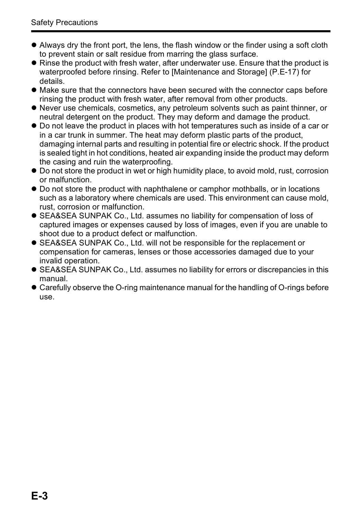- $\bullet$  Always dry the front port, the lens, the flash window or the finder using a soft cloth to prevent stain or salt residue from marring the glass surface.
- Rinse the product with fresh water, after underwater use. Ensure that the product is waterproofed before rinsing. Refer to [Maintenance and Storage] (P.E-17) for details.
- Make sure that the connectors have been secured with the connector caps before rinsing the product with fresh water, after removal from other products.
- $\bullet$  Never use chemicals, cosmetics, any petroleum solvents such as paint thinner, or neutral detergent on the product. They may deform and damage the product.
- $\bullet$  Do not leave the product in places with hot temperatures such as inside of a car or in a car trunk in summer. The heat may deform plastic parts of the product, damaging internal parts and resulting in potential fire or electric shock. If the product is sealed tight in hot conditions, heated air expanding inside the product may deform the casing and ruin the waterproofing.
- $\bullet$  Do not store the product in wet or high humidity place, to avoid mold, rust, corrosion or malfunction.
- Do not store the product with naphthalene or camphor mothballs, or in locations such as a laboratory where chemicals are used. This environment can cause mold, rust, corrosion or malfunction.
- **SEA&SEA SUNPAK Co., Ltd. assumes no liability for compensation of loss of** captured images or expenses caused by loss of images, even if you are unable to shoot due to a product defect or malfunction.
- **SEA&SEA SUNPAK Co., Ltd. will not be responsible for the replacement or** compensation for cameras, lenses or those accessories damaged due to your invalid operation.
- **SEA&SEA SUNPAK Co., Ltd. assumes no liability for errors or discrepancies in this** manual.
- Carefully observe the O-ring maintenance manual for the handling of O-rings before use.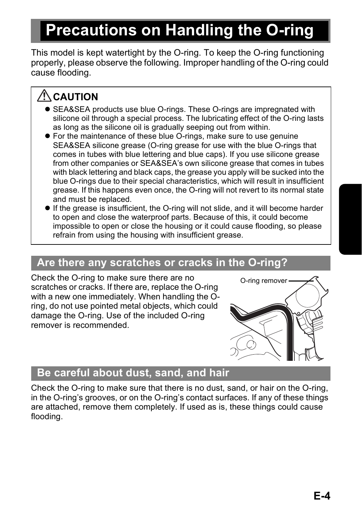# **Precautions on Handling the O-ring**

This model is kept watertight by the O-ring. To keep the O-ring functioning properly, please observe the following. Improper handling of the O-ring could cause flooding.

# $\triangle$  CAUTION

- SEA&SEA products use blue O-rings. These O-rings are impregnated with silicone oil through a special process. The lubricating effect of the O-ring lasts as long as the silicone oil is gradually seeping out from within.
- For the maintenance of these blue O-rings, make sure to use genuine SEA&SEA silicone grease (O-ring grease for use with the blue O-rings that comes in tubes with blue lettering and blue caps). If you use silicone grease from other companies or SEA&SEA's own silicone grease that comes in tubes with black lettering and black caps, the grease you apply will be sucked into the blue O-rings due to their special characteristics, which will result in insufficient grease. If this happens even once, the O-ring will not revert to its normal state and must be replaced.
- $\bullet$  If the grease is insufficient, the O-ring will not slide, and it will become harder to open and close the waterproof parts. Because of this, it could become impossible to open or close the housing or it could cause flooding, so please refrain from using the housing with insufficient grease.

#### **Are there any scratches or cracks in the O-ring?**

Check the O-ring to make sure there are no scratches or cracks. If there are, replace the O-ring with a new one immediately. When handling the Oring, do not use pointed metal objects, which could damage the O-ring. Use of the included O-ring remover is recommended.



#### **Be careful about dust, sand, and hair**

Check the O-ring to make sure that there is no dust, sand, or hair on the O-ring, in the O-ring's grooves, or on the O-ring's contact surfaces. If any of these things are attached, remove them completely. If used as is, these things could cause flooding.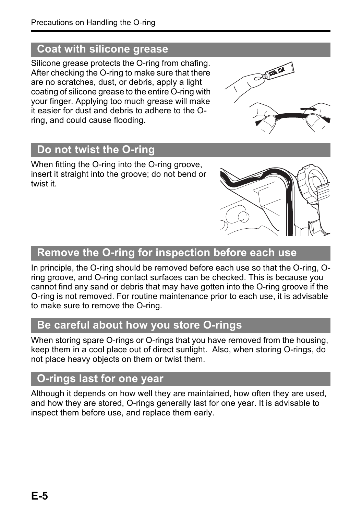### **Coat with silicone grease**

Silicone grease protects the O-ring from chafing. After checking the O-ring to make sure that there are no scratches, dust, or debris, apply a light coating of silicone grease to the entire O-ring with your finger. Applying too much grease will make it easier for dust and debris to adhere to the Oring, and could cause flooding.

### **Do not twist the O-ring**

When fitting the O-ring into the O-ring groove, insert it straight into the groove; do not bend or twist it.

### **Remove the O-ring for inspection before each use**

In principle, the O-ring should be removed before each use so that the O-ring, Oring groove, and O-ring contact surfaces can be checked. This is because you cannot find any sand or debris that may have gotten into the O-ring groove if the O-ring is not removed. For routine maintenance prior to each use, it is advisable to make sure to remove the O-ring.

#### **Be careful about how you store O-rings**

When storing spare O-rings or O-rings that you have removed from the housing, keep them in a cool place out of direct sunlight. Also, when storing O-rings, do not place heavy objects on them or twist them.

### **O-rings last for one year**

Although it depends on how well they are maintained, how often they are used, and how they are stored, O-rings generally last for one year. It is advisable to inspect them before use, and replace them early.



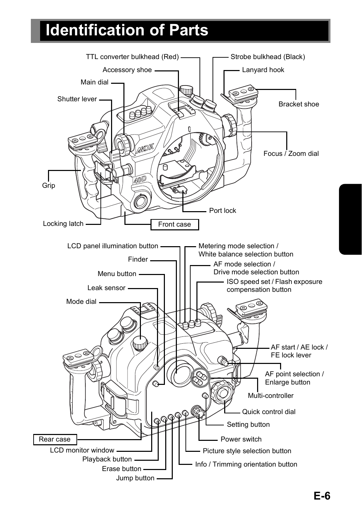# **Identification of Parts**

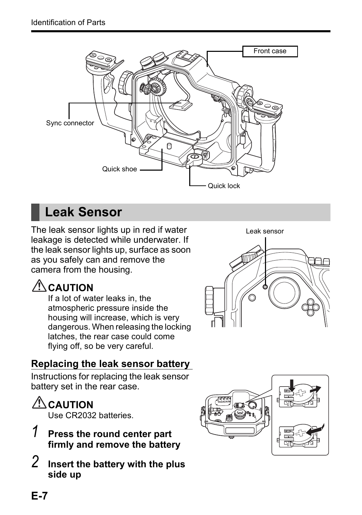

# **Leak Sensor**

The leak sensor lights up in red if water leakage is detected while underwater. If the leak sensor lights up, surface as soon as you safely can and remove the camera from the housing.

# $\triangle$  CAUTION

If a lot of water leaks in, the atmospheric pressure inside the housing will increase, which is very dangerous. When releasing the locking latches, the rear case could come flying off, so be very careful.



#### **Replacing the leak sensor battery**

Instructions for replacing the leak sensor battery set in the rear case.

# **AUTION**

Use CR2032 batteries.

- *1* **Press the round center part firmly and remove the battery**
- *2* **Insert the battery with the plus side up**

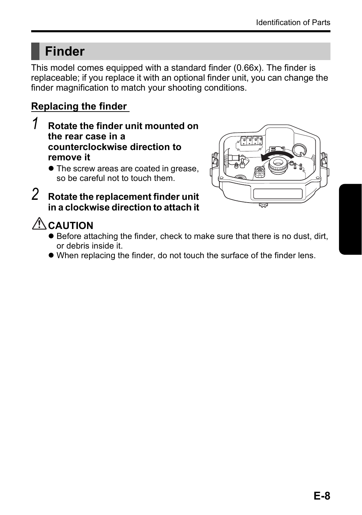# **Finder**

This model comes equipped with a standard finder (0.66x). The finder is replaceable; if you replace it with an optional finder unit, you can change the finder magnification to match your shooting conditions.

#### **Replacing the finder**

*1* **Rotate the finder unit mounted on the rear case in a counterclockwise direction to remove it** 

*2* **Rotate the replacement finder unit in a clockwise direction to attach it** 



### **AUTION**

- $\bullet$  Before attaching the finder, check to make sure that there is no dust, dirt, or debris inside it.
- When replacing the finder, do not touch the surface of the finder lens.

<sup>•</sup> The screw areas are coated in grease, so be careful not to touch them.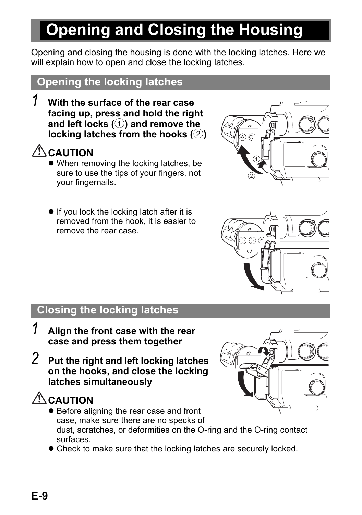# **Opening and Closing the Housing**

Opening and closing the housing is done with the locking latches. Here we will explain how to open and close the locking latches.

#### **Opening the locking latches**

*1* **With the surface of the rear case facing up, press and hold the right and left locks (**1**) and remove the locking latches from the hooks (**2**)** 

# $\sqrt{N}$  CAUTION

- When removing the locking latches, be sure to use the tips of your fingers, not your fingernails.
- $\bullet$  If you lock the locking latch after it is removed from the hook, it is easier to remove the rear case.





#### **Closing the locking latches**

- *1* **Align the front case with the rear case and press them together**
- *2* **Put the right and left locking latches on the hooks, and close the locking latches simultaneously**

# **CAUTION**

- Before aligning the rear case and front case, make sure there are no specks of dust, scratches, or deformities on the O-ring and the O-ring contact surfaces.
- Check to make sure that the locking latches are securely locked.

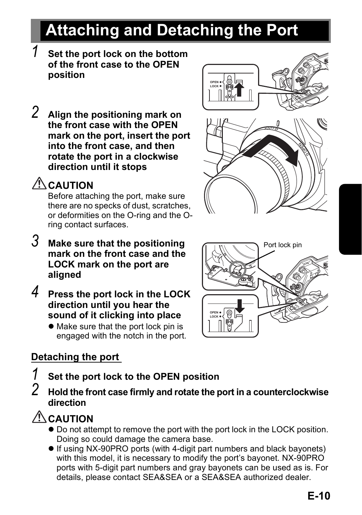# **Attaching and Detaching the Port**

**OPEN LOCK**

- *1* **Set the port lock on the bottom of the front case to the OPEN position**
- *2* **Align the positioning mark on the front case with the OPEN mark on the port, insert the port into the front case, and then rotate the port in a clockwise direction until it stops**

# **CAUTION**

Before attaching the port, make sure there are no specks of dust, scratches, or deformities on the O-ring and the Oring contact surfaces.

- *3* **Make sure that the positioning mark on the front case and the LOCK mark on the port are aligned**
- *4* **Press the port lock in the LOCK direction until you hear the sound of it clicking into place** 
	- $\bullet$  Make sure that the port lock pin is engaged with the notch in the port.

#### **Detaching the port**

- *1* **Set the port lock to the OPEN position**
- *2* **Hold the front case firmly and rotate the port in a counterclockwise direction**

### **CAUTION**

- $\bullet$  Do not attempt to remove the port with the port lock in the LOCK position. Doing so could damage the camera base.
- If using NX-90PRO ports (with 4-digit part numbers and black bayonets) with this model, it is necessary to modify the port's bayonet. NX-90PRO ports with 5-digit part numbers and gray bayonets can be used as is. For details, please contact SEA&SEA or a SEA&SEA authorized dealer.



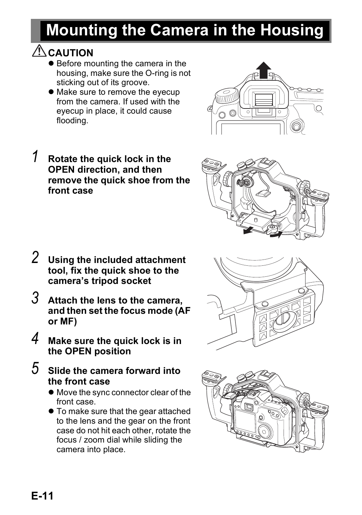# **Mounting the Camera in the Housing**

### ACAUTION

- Before mounting the camera in the housing, make sure the O-ring is not sticking out of its groove.
- Make sure to remove the evecup from the camera. If used with the eyecup in place, it could cause flooding.
- *1* **Rotate the quick lock in the OPEN direction, and then remove the quick shoe from the front case**

- *2* **Using the included attachment tool, fix the quick shoe to the camera's tripod socket**
- *3* **Attach the lens to the camera, and then set the focus mode (AF or MF)**
- *4* **Make sure the quick lock is in the OPEN position**
- *5* **Slide the camera forward into the front case** 
	- $\bullet$  Move the sync connector clear of the front case.
	- $\bullet$  To make sure that the gear attached to the lens and the gear on the front case do not hit each other, rotate the focus / zoom dial while sliding the camera into place.







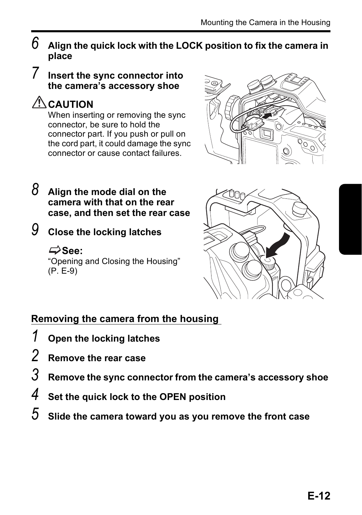- $6$   $\,$  Align the quick lock with the LOCK position to fix the camera in **place**
- *7* **Insert the sync connector into the camera's accessory shoe**

### $\triangle$  **CAUTION**

When inserting or removing the sync connector, be sure to hold the connector part. If you push or pull on the cord part, it could damage the sync connector or cause contact failures.



- *8* **Align the mode dial on the camera with that on the rear case, and then set the rear case**
- 

*9* **Close the locking latches** 

#### **See:**

"Opening and Closing the Housing" (P. E-9)



#### **Removing the camera from the housing**

- *1* **Open the locking latches**
- *2* **Remove the rear case**
- *3* **Remove the sync connector from the camera's accessory shoe**
- *4* **Set the quick lock to the OPEN position**
- *5* **Slide the camera toward you as you remove the front case**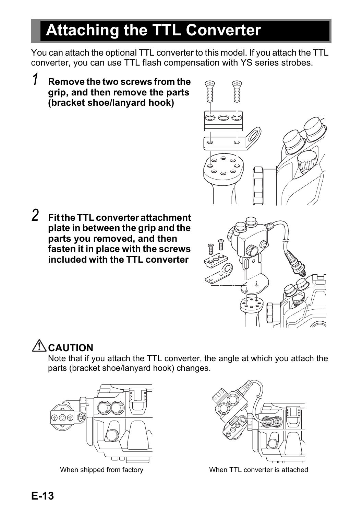# **Attaching the TTL Converter**

You can attach the optional TTL converter to this model. If you attach the TTL converter, you can use TTL flash compensation with YS series strobes.

*1* **Remove the two screws from the grip, and then remove the parts (bracket shoe/lanyard hook)**



*2* **Fit the TTL converter attachment plate in between the grip and the parts you removed, and then fasten it in place with the screws included with the TTL converter** 



# **ACAUTION**

Note that if you attach the TTL converter, the angle at which you attach the parts (bracket shoe/lanyard hook) changes.





When shipped from factory **When TTL converter is attached**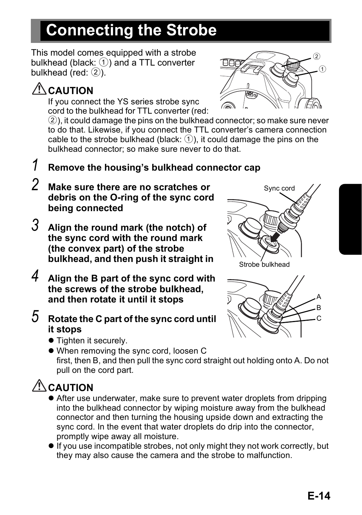# **Connecting the Strobe**

This model comes equipped with a strobe bulkhead (black:  $\circled{1}$ ) and a TTL converter bulkhead (red:  $(2)$ ).

# **AUTION**

If you connect the YS series strobe sync cord to the bulkhead for TTL converter (red:

⋒  $\circled{2}$ 

2), it could damage the pins on the bulkhead connector; so make sure never to do that. Likewise, if you connect the TTL converter's camera connection cable to the strobe bulkhead (black:  $\circled{1}$ ), it could damage the pins on the bulkhead connector; so make sure never to do that.

### *1* **Remove the housing's bulkhead connector cap**

- *2* **Make sure there are no scratches or debris on the O-ring of the sync cord being connected**
- *3* **Align the round mark (the notch) of the sync cord with the round mark (the convex part) of the strobe bulkhead, and then push it straight in**
- *4* **Align the B part of the sync cord with the screws of the strobe bulkhead, and then rotate it until it stops**
- *5* **Rotate the C part of the sync cord until it stops** 
	- Tighten it securely.
	- When removing the sync cord, loosen C first, then B, and then pull the sync cord straight out holding onto A. Do not pull on the cord part.

# **AUTION**

- After use underwater, make sure to prevent water droplets from dripping into the bulkhead connector by wiping moisture away from the bulkhead connector and then turning the housing upside down and extracting the sync cord. In the event that water droplets do drip into the connector, promptly wipe away all moisture.
- $\bullet$  If you use incompatible strobes, not only might they not work correctly, but they may also cause the camera and the strobe to malfunction.



**E-14**

C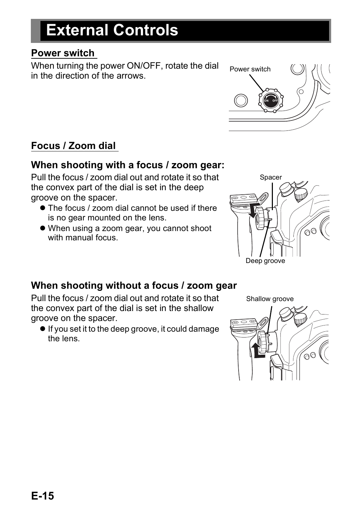# **External Controls**

#### **Power switch**

When turning the power ON/OFF, rotate the dial in the direction of the arrows.

#### **Focus / Zoom dial**

#### **When shooting with a focus / zoom gear:**

Pull the focus / zoom dial out and rotate it so that the convex part of the dial is set in the deep groove on the spacer.

- The focus / zoom dial cannot be used if there is no gear mounted on the lens.
- When using a zoom gear, you cannot shoot with manual focus.



#### **When shooting without a focus / zoom gear**

Pull the focus / zoom dial out and rotate it so that the convex part of the dial is set in the shallow groove on the spacer.

 $\bullet$  If you set it to the deep groove, it could damage the lens.

Shallow groove



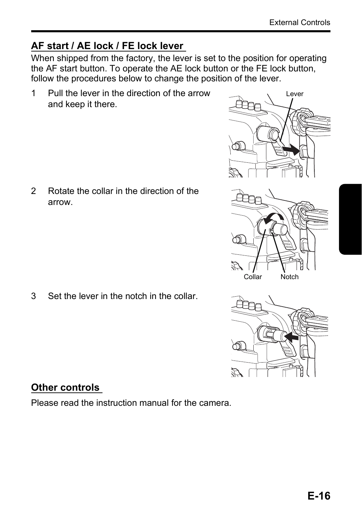#### **AF start / AE lock / FE lock lever**

When shipped from the factory, the lever is set to the position for operating the AF start button. To operate the AE lock button or the FE lock button, follow the procedures below to change the position of the lever.

1 Pull the lever in the direction of the arrow and keep it there.

2 Rotate the collar in the direction of the arrow.

3 Set the lever in the notch in the collar.

#### **Other controls**

Please read the instruction manual for the camera.





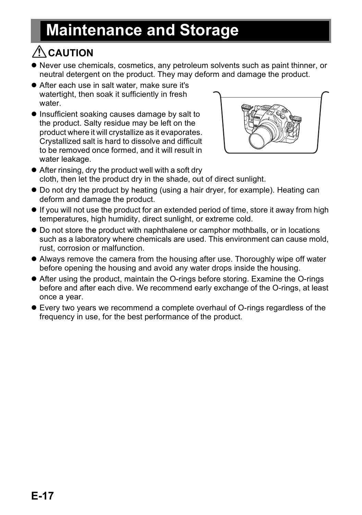# **Maintenance and Storage**

# $\triangle$ CAUTION

- $\bullet$  Never use chemicals, cosmetics, any petroleum solvents such as paint thinner, or neutral detergent on the product. They may deform and damage the product.
- $\bullet$  After each use in salt water, make sure it's watertight, then soak it sufficiently in fresh water.
- $\bullet$  Insufficient soaking causes damage by salt to the product. Salty residue may be left on the product where it will crystallize as it evaporates. Crystallized salt is hard to dissolve and difficult to be removed once formed, and it will result in water leakage.



- $\bullet$  After rinsing, dry the product well with a soft dry cloth, then let the product dry in the shade, out of direct sunlight.
- $\bullet$  Do not dry the product by heating (using a hair dryer, for example). Heating can deform and damage the product.
- **.** If you will not use the product for an extended period of time, store it away from high temperatures, high humidity, direct sunlight, or extreme cold.
- Do not store the product with naphthalene or camphor mothballs, or in locations such as a laboratory where chemicals are used. This environment can cause mold, rust, corrosion or malfunction.
- Always remove the camera from the housing after use. Thoroughly wipe off water before opening the housing and avoid any water drops inside the housing.
- After using the product, maintain the O-rings before storing. Examine the O-rings before and after each dive. We recommend early exchange of the O-rings, at least once a year.
- Every two years we recommend a complete overhaul of O-rings regardless of the frequency in use, for the best performance of the product.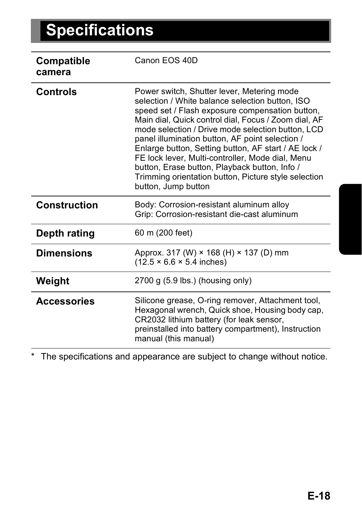| Compatible<br>camera | Canon EOS 40D                                                                                                                                                                                                                                                                                                                                                                                                                                                                                                                                                |
|----------------------|--------------------------------------------------------------------------------------------------------------------------------------------------------------------------------------------------------------------------------------------------------------------------------------------------------------------------------------------------------------------------------------------------------------------------------------------------------------------------------------------------------------------------------------------------------------|
| Controls             | Power switch, Shutter lever, Metering mode<br>selection / White balance selection button. ISO<br>speed set / Flash exposure compensation button,<br>Main dial, Quick control dial, Focus / Zoom dial, AF<br>mode selection / Drive mode selection button, LCD<br>panel illumination button, AF point selection /<br>Enlarge button, Setting button, AF start / AE lock /<br>FE lock lever, Multi-controller, Mode dial, Menu<br>button, Erase button, Playback button, Info /<br>Trimming orientation button, Picture style selection<br>button, Jump button |
| Construction         | Body: Corrosion-resistant aluminum alloy<br>Grip: Corrosion-resistant die-cast aluminum                                                                                                                                                                                                                                                                                                                                                                                                                                                                      |
| Depth rating         | 60 m (200 feet)                                                                                                                                                                                                                                                                                                                                                                                                                                                                                                                                              |
| <b>Dimensions</b>    | Approx. 317 (W) × 168 (H) × 137 (D) mm<br>$(12.5 \times 6.6 \times 5.4 \text{ inches})$                                                                                                                                                                                                                                                                                                                                                                                                                                                                      |
| Weight               | 2700 g (5.9 lbs.) (housing only)                                                                                                                                                                                                                                                                                                                                                                                                                                                                                                                             |
| <b>Accessories</b>   | Silicone grease, O-ring remover, Attachment tool,<br>Hexagonal wrench, Quick shoe, Housing body cap,<br>CR2032 lithium battery (for leak sensor,<br>preinstalled into battery compartment), Instruction<br>manual (this manual)                                                                                                                                                                                                                                                                                                                              |

\* The specifications and appearance are subject to change without notice.